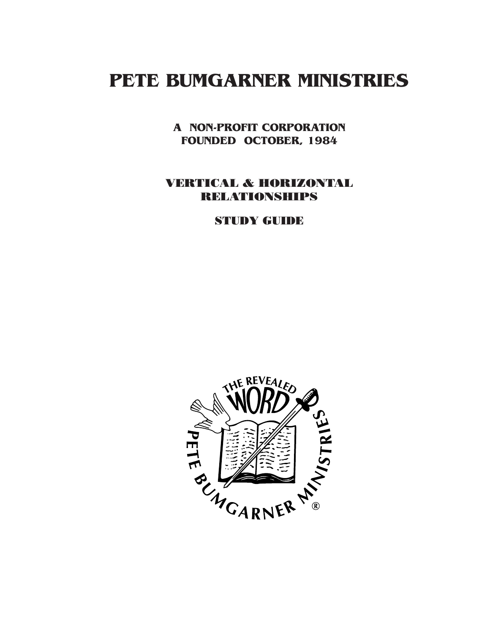# **PETE BUMGARNER MINISTRIES**

**A NON-PROFIT CORPORATION FOUNDED OCTOBER, 1984**

## VERTICAL & HORIZONTAL RELATIONSHIPS

STUDY GUIDE

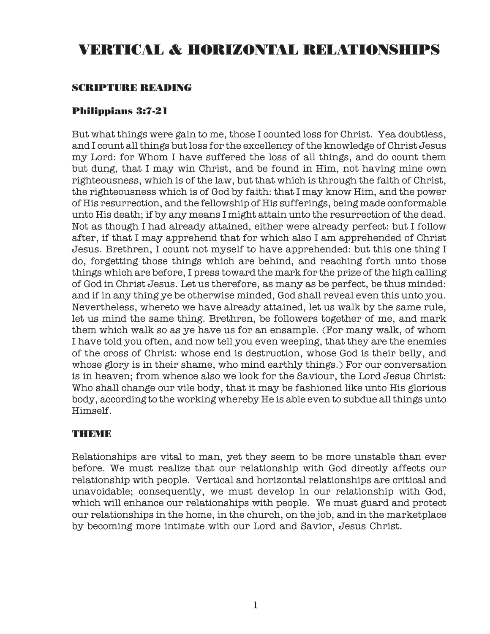## VERTICAL & HORIZONTAL RELATIONSHIPS

## SCRIPTURE READING

## Philippians 3:7-21

But what things were gain to me, those I counted loss for Christ. Yea doubtless, and I count all things but loss for the excellency of the knowledge of Christ Jesus my Lord: for Whom I have suffered the loss of all things, and do count them but dung, that I may win Christ, and be found in Him, not having mine own righteousness, which is of the law, but that which is through the faith of Christ, the righteousness which is of God by faith: that I may know Him, and the power of His resurrection, and the fellowship of His sufferings, being made conformable unto His death; if by any means I might attain unto the resurrection of the dead. Not as though I had already attained, either were already perfect: but I follow after, if that I may apprehend that for which also I am apprehended of Christ Jesus. Brethren, I count not myself to have apprehended: but this one thing I do, forgetting those things which are behind, and reaching forth unto those things which are before, I press toward the mark for the prize of the high calling of God in Christ Jesus. Let us therefore, as many as be perfect, be thus minded: and if in any thing ye be otherwise minded, God shall reveal even this unto you. Nevertheless, whereto we have already attained, let us walk by the same rule, let us mind the same thing. Brethren, be followers together of me, and mark them which walk so as ye have us for an ensample. (For many walk, of whom I have told you often, and now tell you even weeping, that they are the enemies of the cross of Christ: whose end is destruction, whose God is their belly, and whose glory is in their shame, who mind earthly things.) For our conversation is in heaven; from whence also we look for the Saviour, the Lord Jesus Christ: Who shall change our vile body, that it may be fashioned like unto His glorious body, according to the working whereby He is able even to subdue all things unto Himself.

#### THEME

Relationships are vital to man, yet they seem to be more unstable than ever before. We must realize that our relationship with God directly affects our relationship with people. Vertical and horizontal relationships are critical and unavoidable; consequently, we must develop in our relationship with God, which will enhance our relationships with people. We must guard and protect our relationships in the home, in the church, on the job, and in the marketplace by becoming more intimate with our Lord and Savior, Jesus Christ.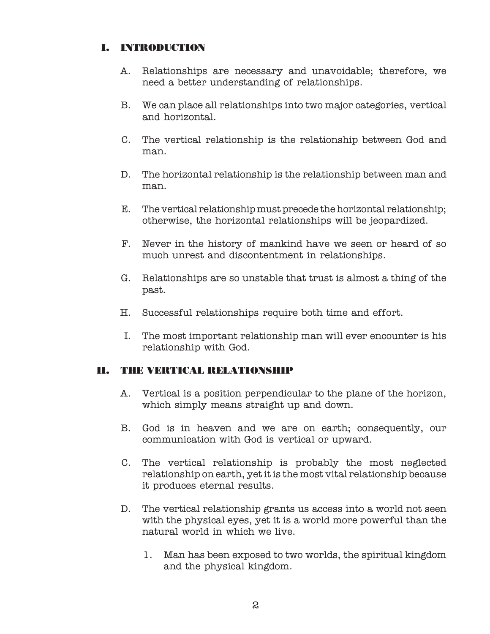## I. INTRODUCTION

- A. Relationships are necessary and unavoidable; therefore, we need a better understanding of relationships.
- B. We can place all relationships into two major categories, vertical and horizontal.
- C. The vertical relationship is the relationship between God and man.
- D. The horizontal relationship is the relationship between man and man.
- E. The vertical relationship must precede the horizontal relationship; otherwise, the horizontal relationships will be jeopardized.
- F. Never in the history of mankind have we seen or heard of so much unrest and discontentment in relationships.
- G. Relationships are so unstable that trust is almost a thing of the past.
- H. Successful relationships require both time and effort.
- I. The most important relationship man will ever encounter is his relationship with God.

## II. THE VERTICAL RELATIONSHIP

- A. Vertical is a position perpendicular to the plane of the horizon, which simply means straight up and down.
- B. God is in heaven and we are on earth; consequently, our communication with God is vertical or upward.
- C. The vertical relationship is probably the most neglected relationship on earth, yet it is the most vital relationship because it produces eternal results.
- D. The vertical relationship grants us access into a world not seen with the physical eyes, yet it is a world more powerful than the natural world in which we live.
	- 1. Man has been exposed to two worlds, the spiritual kingdom and the physical kingdom.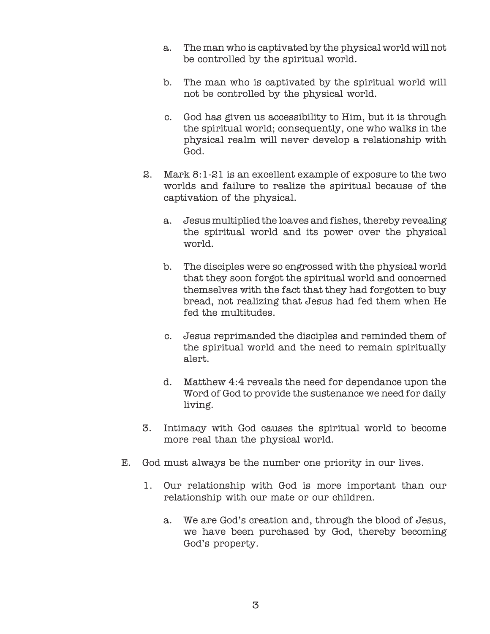- a. The man who is captivated by the physical world will not be controlled by the spiritual world.
- b. The man who is captivated by the spiritual world will not be controlled by the physical world.
- c. God has given us accessibility to Him, but it is through the spiritual world; consequently, one who walks in the physical realm will never develop a relationship with God.
- 2. Mark 8:1-21 is an excellent example of exposure to the two worlds and failure to realize the spiritual because of the captivation of the physical.
	- a. Jesus multiplied the loaves and fishes, thereby revealing the spiritual world and its power over the physical world.
	- b. The disciples were so engrossed with the physical world that they soon forgot the spiritual world and concerned themselves with the fact that they had forgotten to buy bread, not realizing that Jesus had fed them when He fed the multitudes.
	- c. Jesus reprimanded the disciples and reminded them of the spiritual world and the need to remain spiritually alert.
	- d. Matthew 4:4 reveals the need for dependance upon the Word of God to provide the sustenance we need for daily living.
- 3. Intimacy with God causes the spiritual world to become more real than the physical world.
- E. God must always be the number one priority in our lives.
	- 1. Our relationship with God is more important than our relationship with our mate or our children.
		- a. We are God's creation and, through the blood of Jesus, we have been purchased by God, thereby becoming God's property.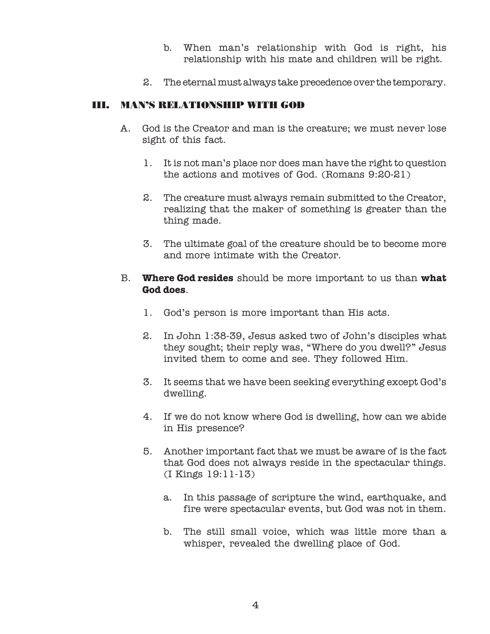- b. When man's relationship with God is right, his relationship with his mate and children will be right.
- 2. The eternal must always take precedence over the temporary.

## III. MAN'S RELATIONSHIP WITH GOD

- A. God is the Creator and man is the creature; we must never lose sight of this fact.
	- 1. It is not man's place nor does man have the right to question the actions and motives of God. (Romans 9:20-21)
	- 2. The creature must always remain submitted to the Creator, realizing that the maker of something is greater than the thing made.
	- 3. The ultimate goal of the creature should be to become more and more intimate with the Creator.

## B. **Where God resides** should be more important to us than **what God does**.

- 1. God's person is more important than His acts.
- 2. In John 1:38-39, Jesus asked two of John's disciples what they sought; their reply was, "Where do you dwell?" Jesus invited them to come and see. They followed Him.
- 3. It seems that we have been seeking everything except God's dwelling.
- 4. If we do not know where God is dwelling, how can we abide in His presence?
- 5. Another important fact that we must be aware of is the fact that God does not always reside in the spectacular things. (I Kings 19:11-13)
	- a. In this passage of scripture the wind, earthquake, and fire were spectacular events, but God was not in them.
	- b. The still small voice, which was little more than a whisper, revealed the dwelling place of God.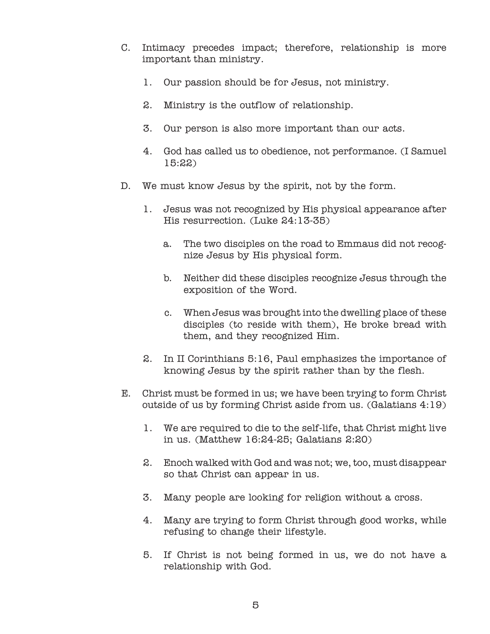- C. Intimacy precedes impact; therefore, relationship is more important than ministry.
	- 1. Our passion should be for Jesus, not ministry.
	- 2. Ministry is the outflow of relationship.
	- 3. Our person is also more important than our acts.
	- 4. God has called us to obedience, not performance. (I Samuel 15:22)
- D. We must know Jesus by the spirit, not by the form.
	- 1. Jesus was not recognized by His physical appearance after His resurrection. (Luke 24:13-35)
		- a. The two disciples on the road to Emmaus did not recognize Jesus by His physical form.
		- b. Neither did these disciples recognize Jesus through the exposition of the Word.
		- c. When Jesus was brought into the dwelling place of these disciples (to reside with them), He broke bread with them, and they recognized Him.
	- 2. In II Corinthians 5:16, Paul emphasizes the importance of knowing Jesus by the spirit rather than by the flesh.
- E. Christ must be formed in us; we have been trying to form Christ outside of us by forming Christ aside from us. (Galatians 4:19)
	- 1. We are required to die to the self-life, that Christ might live in us. (Matthew 16:24-25; Galatians 2:20)
	- 2. Enoch walked with God and was not; we, too, must disappear so that Christ can appear in us.
	- 3. Many people are looking for religion without a cross.
	- 4. Many are trying to form Christ through good works, while refusing to change their lifestyle.
	- 5. If Christ is not being formed in us, we do not have a relationship with God.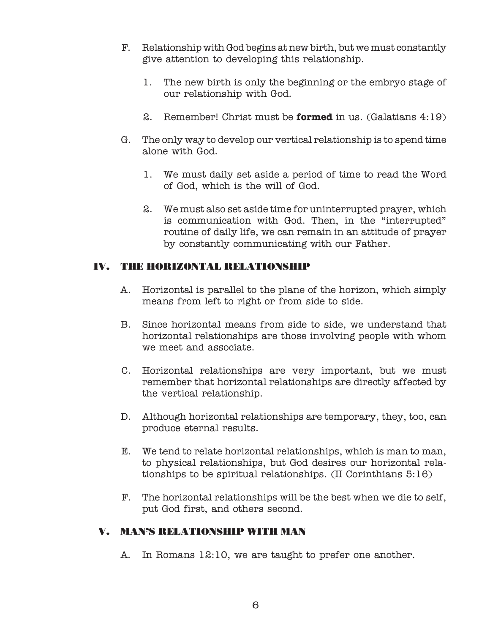- F. Relationship with God begins at new birth, but we must constantly give attention to developing this relationship.
	- 1. The new birth is only the beginning or the embryo stage of our relationship with God.
	- 2. Remember! Christ must be **formed** in us. (Galatians 4:19)
- G. The only way to develop our vertical relationship is to spend time alone with God.
	- 1. We must daily set aside a period of time to read the Word of God, which is the will of God.
	- 2. We must also set aside time for uninterrupted prayer, which is communication with God. Then, in the "interrupted" routine of daily life, we can remain in an attitude of prayer by constantly communicating with our Father.

## IV. THE HORIZONTAL RELATIONSHIP

- A. Horizontal is parallel to the plane of the horizon, which simply means from left to right or from side to side.
- B. Since horizontal means from side to side, we understand that horizontal relationships are those involving people with whom we meet and associate.
- C. Horizontal relationships are very important, but we must remember that horizontal relationships are directly affected by the vertical relationship.
- D. Although horizontal relationships are temporary, they, too, can produce eternal results.
- E. We tend to relate horizontal relationships, which is man to man, to physical relationships, but God desires our horizontal relationships to be spiritual relationships. (II Corinthians 5:16)
- F. The horizontal relationships will be the best when we die to self, put God first, and others second.

## V. MAN'S RELATIONSHIP WITH MAN

A. In Romans 12:10, we are taught to prefer one another.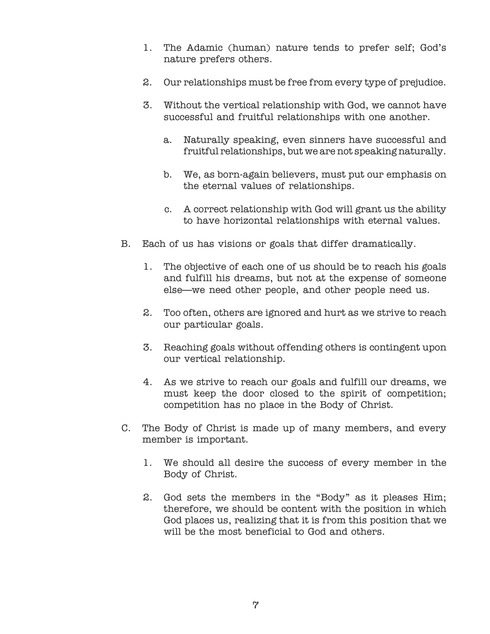- 1. The Adamic (human) nature tends to prefer self; God's nature prefers others.
- 2. Our relationships must be free from every type of prejudice.
- 3. Without the vertical relationship with God, we cannot have successful and fruitful relationships with one another.
	- a. Naturally speaking, even sinners have successful and fruitful relationships, but we are not speaking naturally.
	- b. We, as born-again believers, must put our emphasis on the eternal values of relationships.
	- c. A correct relationship with God will grant us the ability to have horizontal relationships with eternal values.
- B. Each of us has visions or goals that differ dramatically.
	- 1. The objective of each one of us should be to reach his goals and fulfill his dreams, but not at the expense of someone else—we need other people, and other people need us.
	- 2. Too often, others are ignored and hurt as we strive to reach our particular goals.
	- 3. Reaching goals without offending others is contingent upon our vertical relationship.
	- 4. As we strive to reach our goals and fulfill our dreams, we must keep the door closed to the spirit of competition; competition has no place in the Body of Christ.
- C. The Body of Christ is made up of many members, and every member is important.
	- 1. We should all desire the success of every member in the Body of Christ.
	- 2. God sets the members in the "Body" as it pleases Him; therefore, we should be content with the position in which God places us, realizing that it is from this position that we will be the most beneficial to God and others.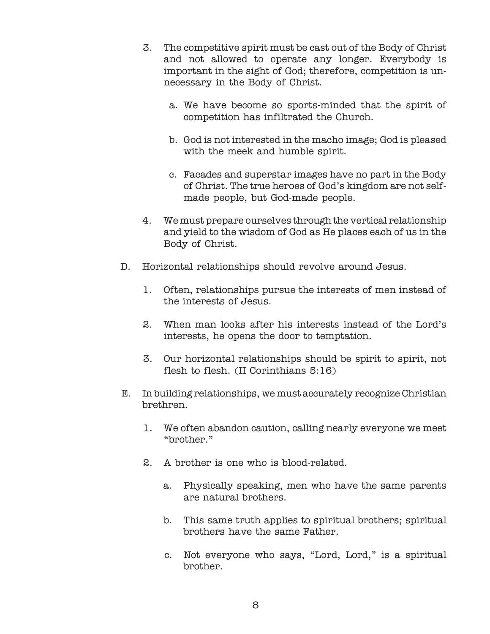- 3. The competitive spirit must be cast out of the Body of Christ and not allowed to operate any longer. Everybody is important in the sight of God; therefore, competition is unnecessary in the Body of Christ.
	- a. We have become so sports-minded that the spirit of competition has infiltrated the Church.
	- b. God is not interested in the macho image; God is pleased with the meek and humble spirit.
	- c. Facades and superstar images have no part in the Body of Christ. The true heroes of God's kingdom are not selfmade people, but God-made people.
- 4. We must prepare ourselves through the vertical relationship and yield to the wisdom of God as He places each of us in the Body of Christ.
- D. Horizontal relationships should revolve around Jesus.
	- 1. Often, relationships pursue the interests of men instead of the interests of Jesus.
	- 2. When man looks after his interests instead of the Lord's interests, he opens the door to temptation.
	- 3. Our horizontal relationships should be spirit to spirit, not flesh to flesh. (II Corinthians 5:16)
- E. In building relationships, we must accurately recognize Christian brethren.
	- 1. We often abandon caution, calling nearly everyone we meet "brother."
	- 2. A brother is one who is blood-related.
		- a. Physically speaking, men who have the same parents are natural brothers.
		- b. This same truth applies to spiritual brothers; spiritual brothers have the same Father.
		- c. Not everyone who says, "Lord, Lord," is a spiritual brother.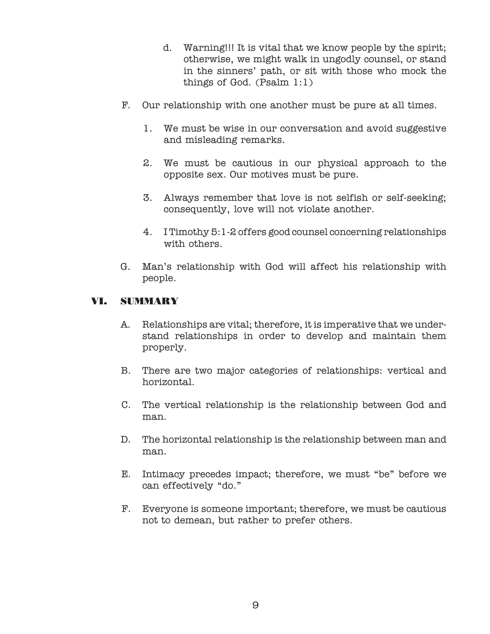- d. Warning!!! It is vital that we know people by the spirit; otherwise, we might walk in ungodly counsel, or stand in the sinners' path, or sit with those who mock the things of God. (Psalm 1:1)
- F. Our relationship with one another must be pure at all times.
	- 1. We must be wise in our conversation and avoid suggestive and misleading remarks.
	- 2. We must be cautious in our physical approach to the opposite sex. Our motives must be pure.
	- 3. Always remember that love is not selfish or self-seeking; consequently, love will not violate another.
	- 4. I Timothy 5:1-2 offers good counsel concerning relationships with others.
- G. Man's relationship with God will affect his relationship with people.

## VI. SUMMARY

- A. Relationships are vital; therefore, it is imperative that we understand relationships in order to develop and maintain them properly.
- B. There are two major categories of relationships: vertical and horizontal.
- C. The vertical relationship is the relationship between God and man.
- D. The horizontal relationship is the relationship between man and man.
- E. Intimacy precedes impact; therefore, we must "be" before we can effectively "do."
- F. Everyone is someone important; therefore, we must be cautious not to demean, but rather to prefer others.